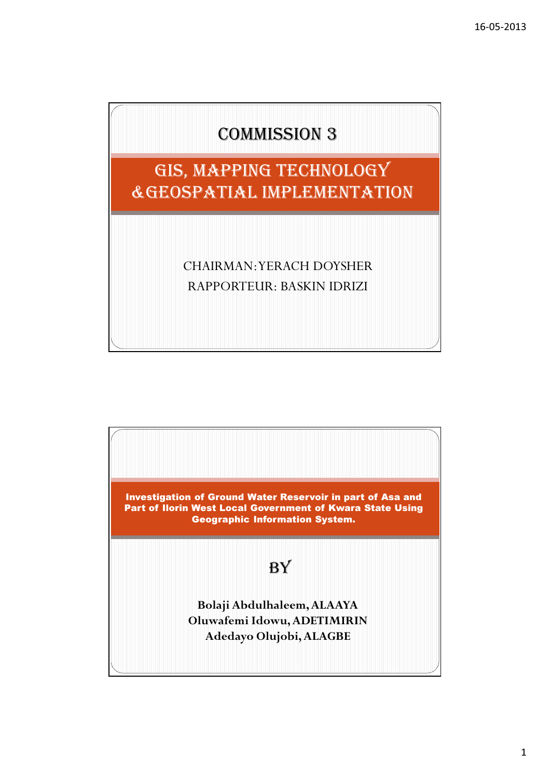



1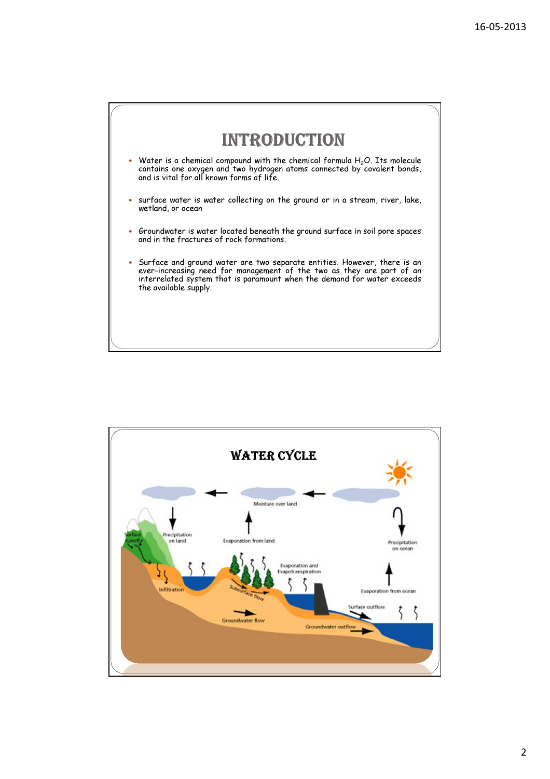



#### 2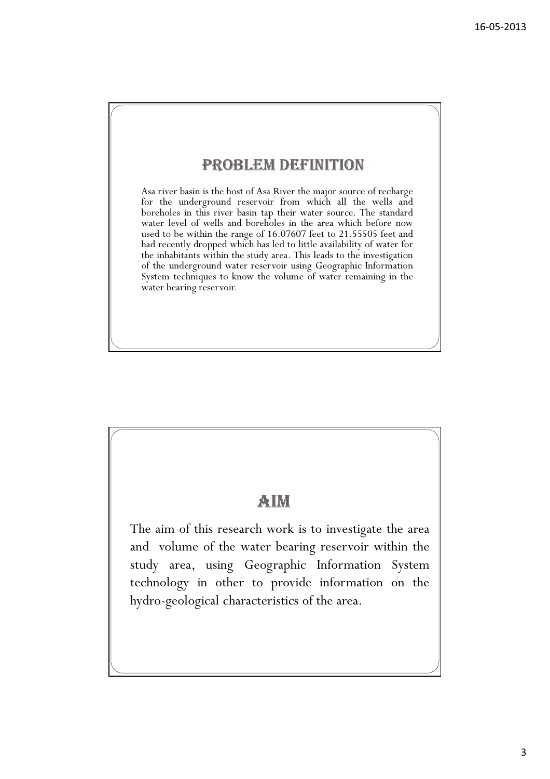## PROBLEM DEFINITION

Asa river basin is the host of Asa River the major source of recharge for the underground reservoir from which all the wells and boreholes in this river basin tap their water source. The standard water level of wells and boreholes in the area which before now used to be within the range of 16.07607 feet to 21.55505 feet and had recently dropped which has led to little availability of water for the inhabitants within the study area. This leads to the investigation of the underground water reservoir using Geographic Information System techniques to know the volume of water remaining in the water bearing reservoir.

## AIM

The aim of this research work is to investigate the area and volume of the water bearing reservoir within the study area, using Geographic Information System technology in other to provide information on the hydro-geological characteristics of the area.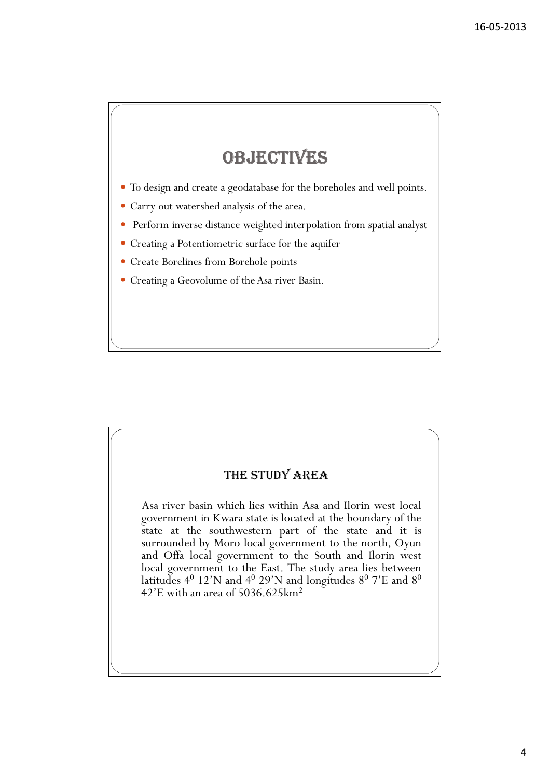## **OBJECTIVES**

- To design and create a geodatabase for the boreholes and well points.
- Carry out watershed analysis of the area.
- Perform inverse distance weighted interpolation from spatial analyst
- Creating a Potentiometric surface for the aquifer
- Create Borelines from Borehole points
- Creating a Geovolume of the Asa river Basin.

#### THE STUDY AREA

Asa river basin which lies within Asa and Ilorin west local government in Kwara state is located at the boundary of the state at the southwestern part of the state and it is surrounded by Moro local government to the north, Oyun and Offa local government to the South and Ilorin west local government to the East. The study area lies between latitudes  $4^0$  12'N and  $4^0$  29'N and longitudes  $8^0$  7'E and  $8^0$  $42'$ E with an area of 5036.625 $km<sup>2</sup>$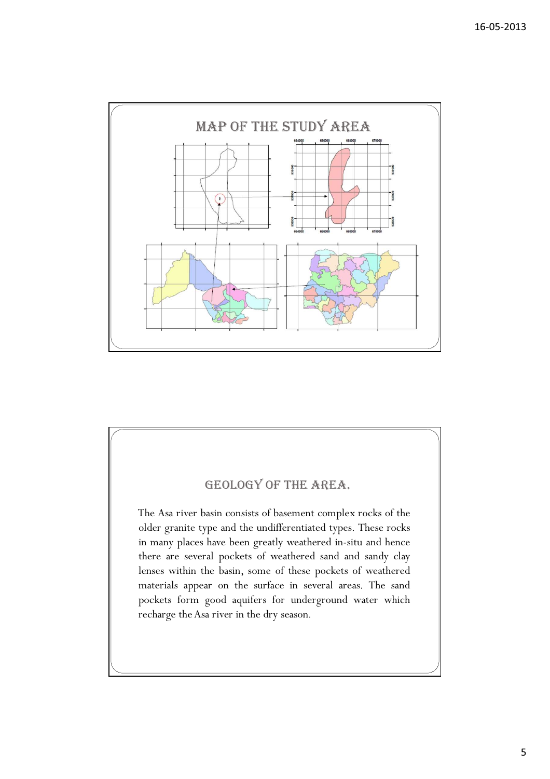

## GEOLOGY OF THE AREA. The Asa river basin consists of basement complex rocks of the older granite type and the undifferentiated types. These rocks in many places have been greatly weathered in-situ and hence there are several pockets of weathered sand and sandy clay lenses within the basin, some of these pockets of weathered materials appear on the surface in several areas. The sand pockets form good aquifers for underground water which recharge the Asa river in the dry season.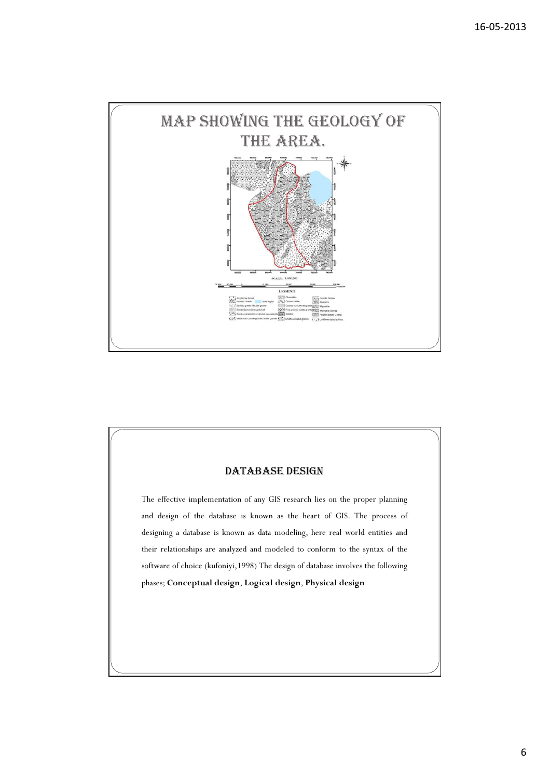

# The effective implementation of any GIS research lies on the proper planning and design of the database is known as the heart of GIS. The process of designing a database is known as data modeling, here real world entities and their relationships are analyzed and modeled to conform to the syntax of the software of choice (kufoniyi,1998) The design of database involves the following phases; Conceptual design, Logical design, Physical design DATABASE DESIGN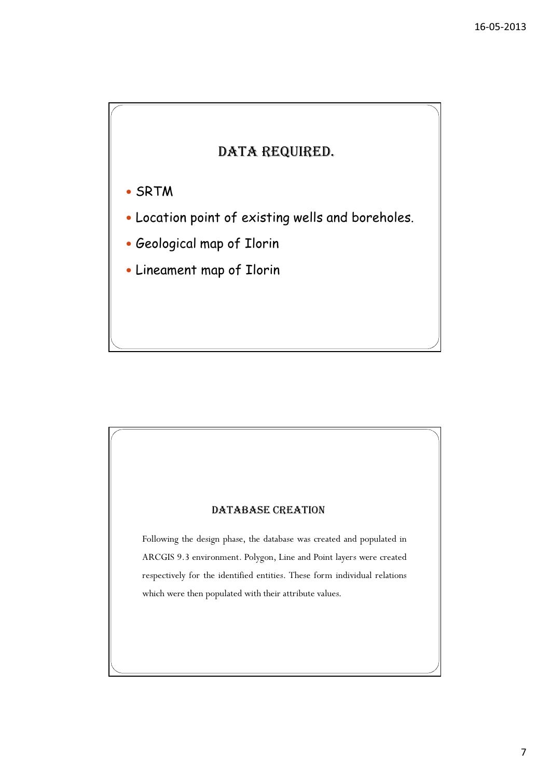### DATA REQUIRED.

- SRTM
- Location point of existing wells and boreholes.
- Geological map of Ilorin
- Lineament map of Ilorin

#### DATABASE CREATION

Following the design phase, the database was created and populated in ARCGIS 9.3 environment. Polygon, Line and Point layers were created respectively for the identified entities. These form individual relations which were then populated with their attribute values.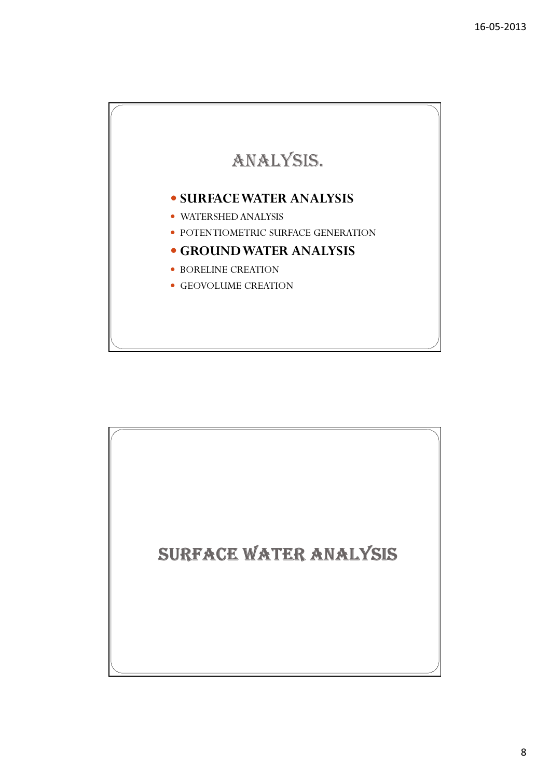

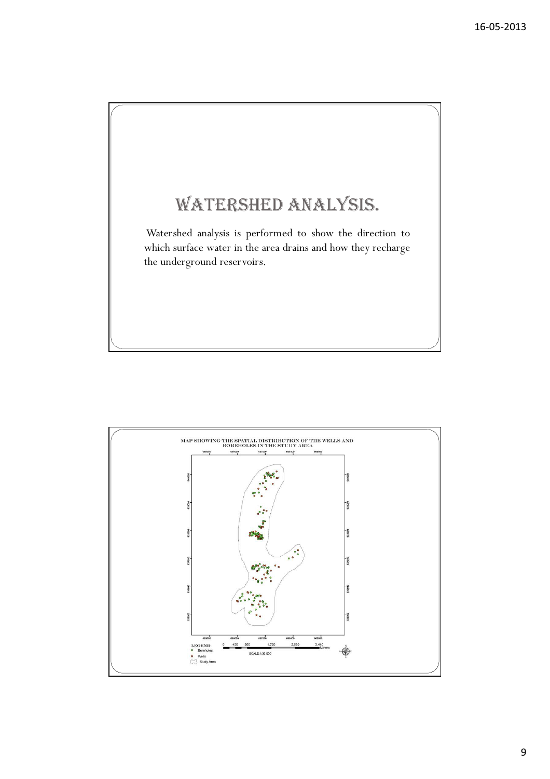

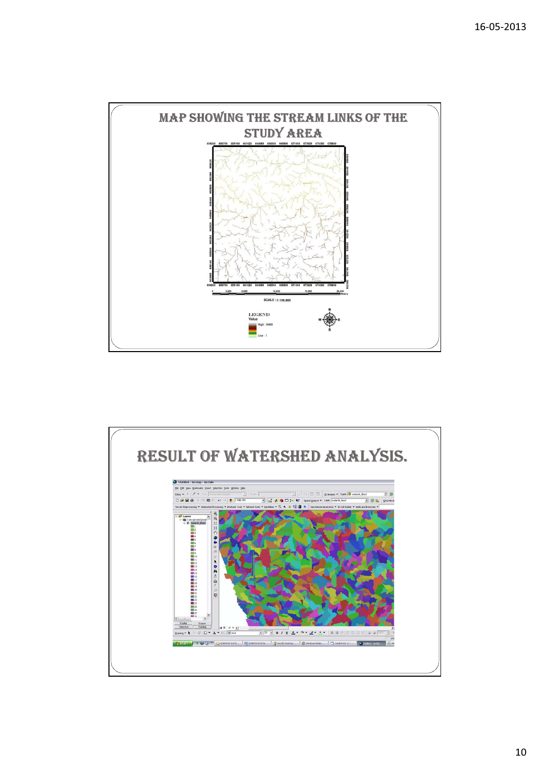

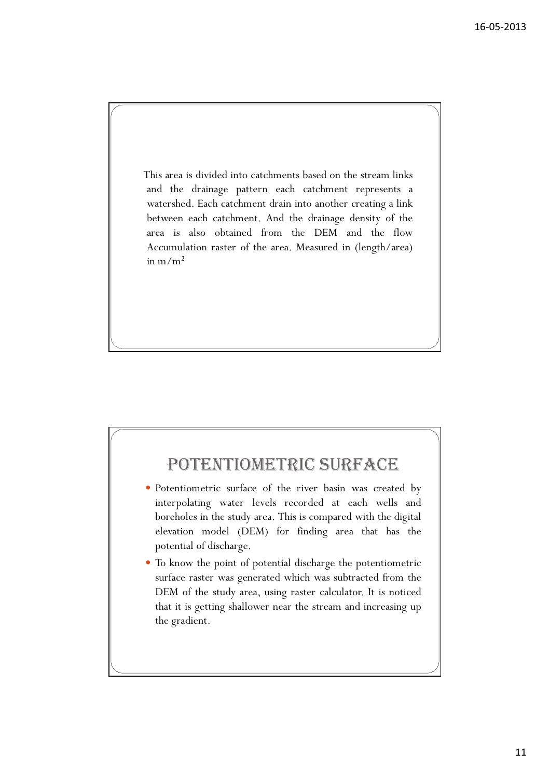This area is divided into catchments based on the stream links and the drainage pattern each catchment represents a watershed. Each catchment drain into another creating a link between each catchment. And the drainage density of the area is also obtained from the DEM and the flow Accumulation raster of the area. Measured in (length/area) in  $m/m^2$ 

## POTENTIOMETRIC SURFACE

- Potentiometric surface of the river basin was created by interpolating water levels recorded at each wells and boreholes in the study area. This is compared with the digital elevation model (DEM) for finding area that has the potential of discharge.
- To know the point of potential discharge the potentiometric surface raster was generated which was subtracted from the DEM of the study area, using raster calculator. It is noticed that it is getting shallower near the stream and increasing up the gradient.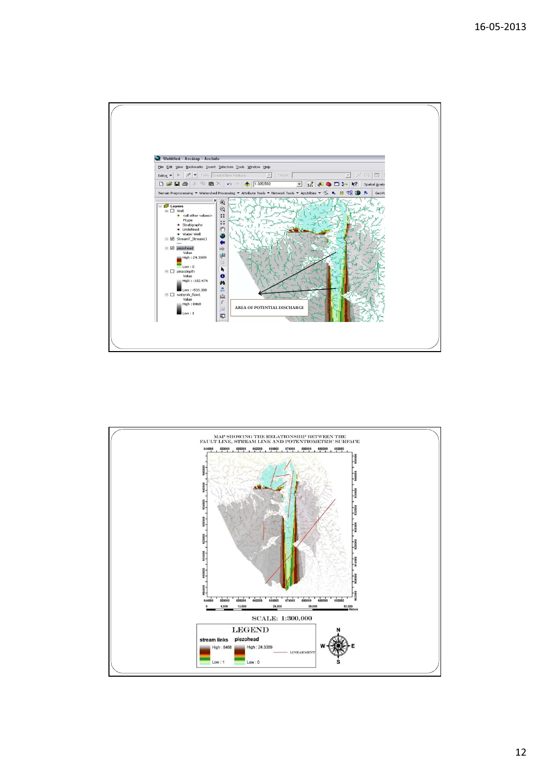

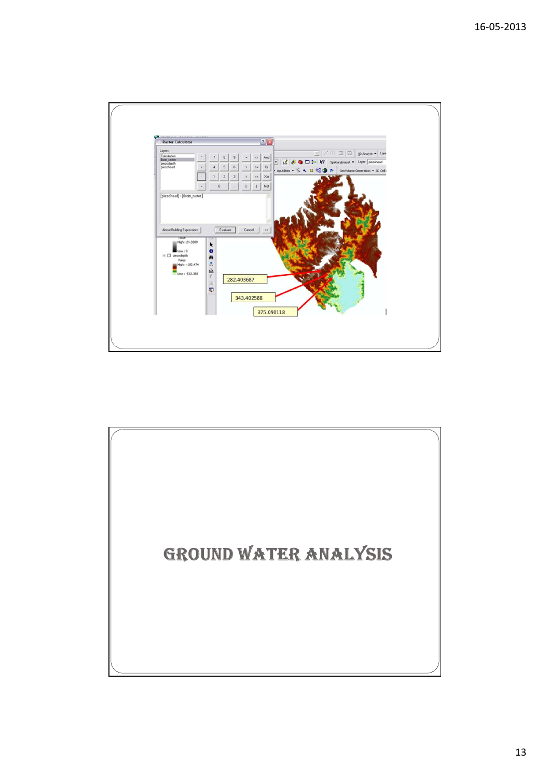

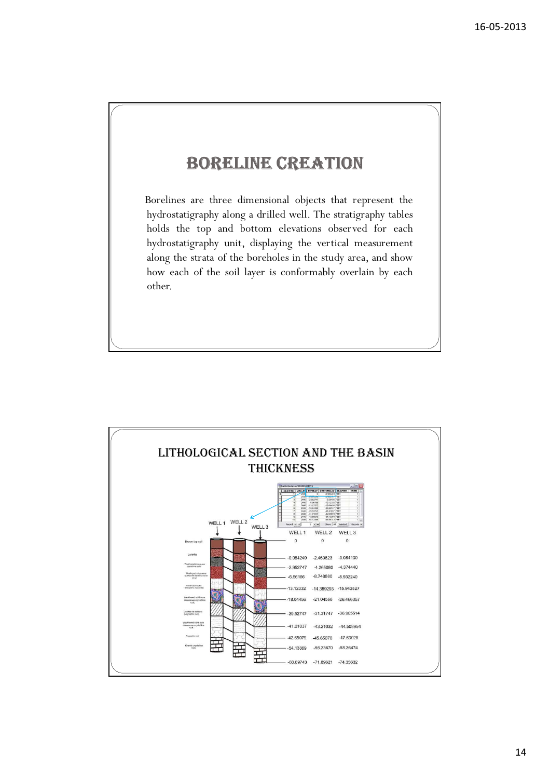## BORELINE CREATION

Borelines are three dimensional objects that represent the hydrostatigraphy along a drilled well. The stratigraphy tables holds the top and bottom elevations observed for each hydrostatigraphy unit, displaying the vertical measurement along the strata of the boreholes in the study area, and show how each of the soil layer is conformably overlain by each other.

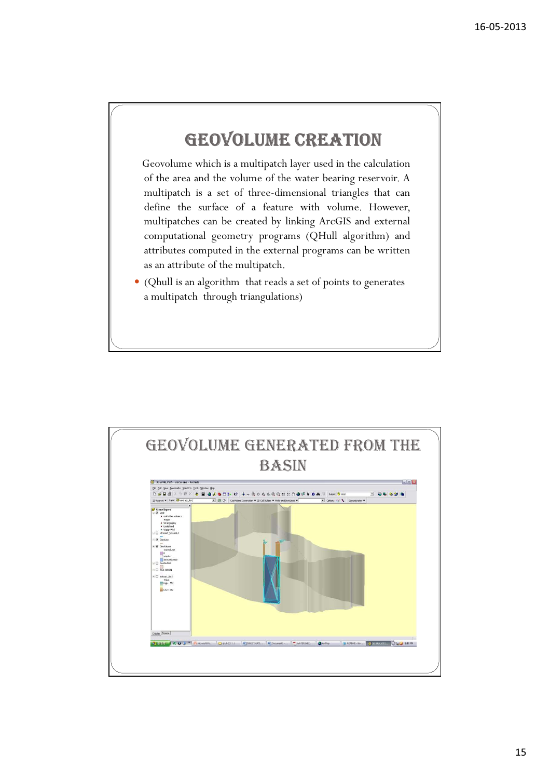## GEOVOLUME CREATION

Geovolume which is a multipatch layer used in the calculation of the area and the volume of the water bearing reservoir. A multipatch is a set of three-dimensional triangles that can define the surface of a feature with volume. However, multipatches can be created by linking ArcGIS and external computational geometry programs (QHull algorithm) and attributes computed in the external programs can be written as an attribute of the multipatch.

 (Qhull is an algorithm that reads a set of points to generates a multipatch through triangulations)

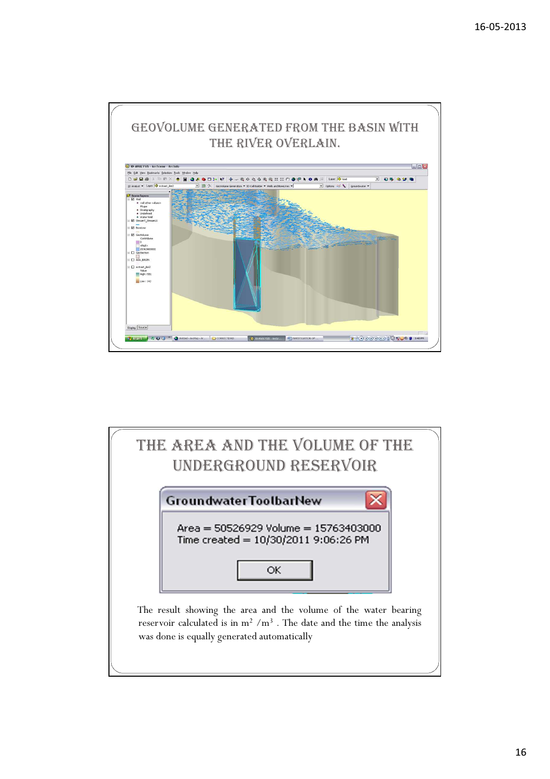

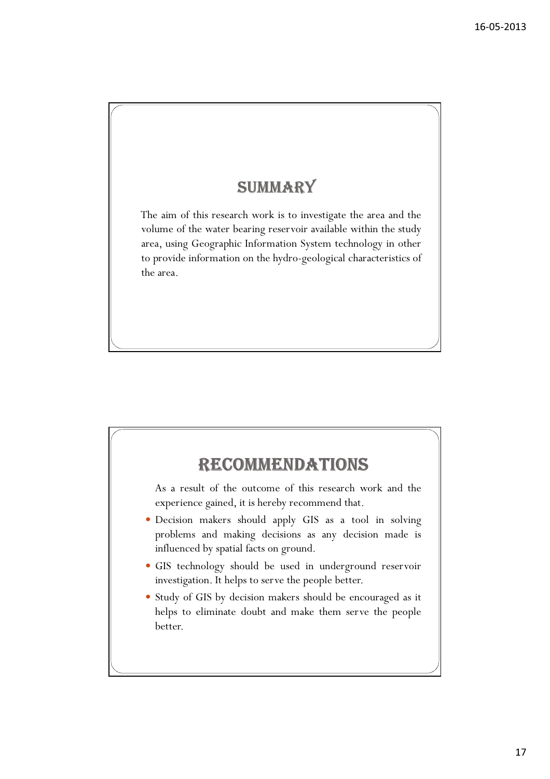## **SUMMARY**

The aim of this research work is to investigate the area and the volume of the water bearing reservoir available within the study area, using Geographic Information System technology in other to provide information on the hydro-geological characteristics of the area.

## RECOMMENDATIONS

As a result of the outcome of this research work and the experience gained, it is hereby recommend that.

- Decision makers should apply GIS as a tool in solving problems and making decisions as any decision made is influenced by spatial facts on ground.
- GIS technology should be used in underground reservoir investigation. It helps to serve the people better.
- Study of GIS by decision makers should be encouraged as it helps to eliminate doubt and make them serve the people better.